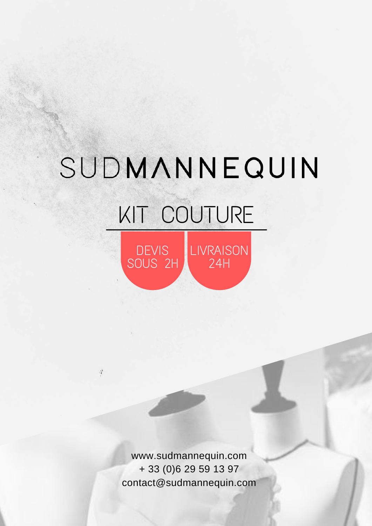## SUDMANNEQUIN

## KIT COUTURE

DEVIS SOUS 2H LIVRAISON 24H

www.sudmannequin.com + 33 (0)6 29 59 13 97 [contact@sudmannequin.com](mailto:contact@sudmannequin.com)

 $\mathcal{V}$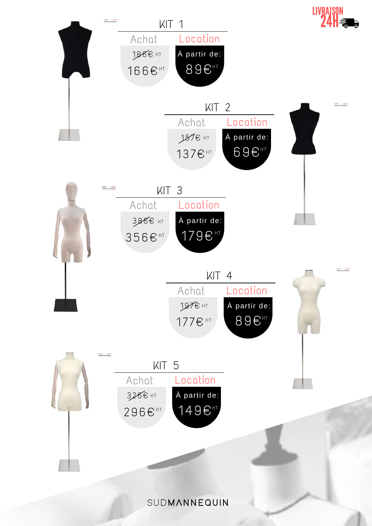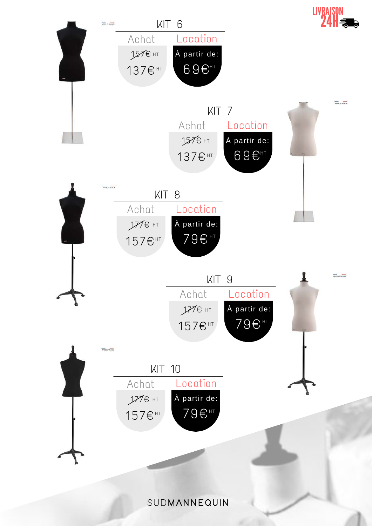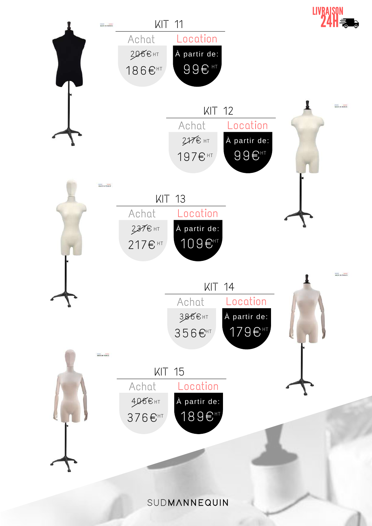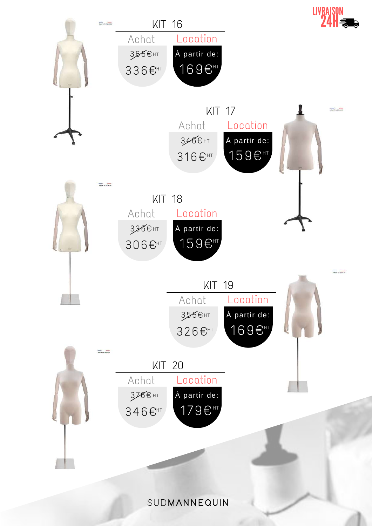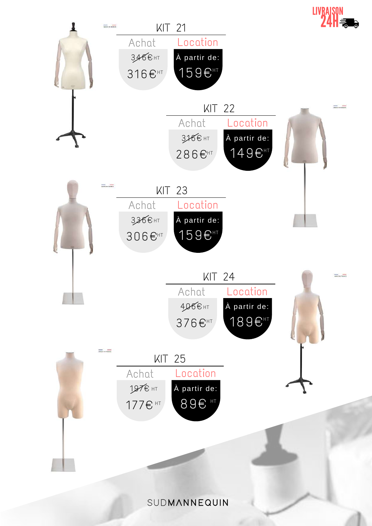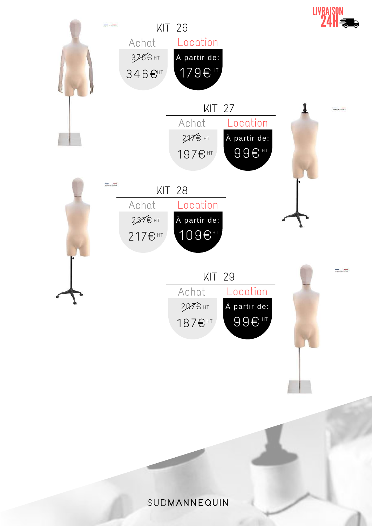